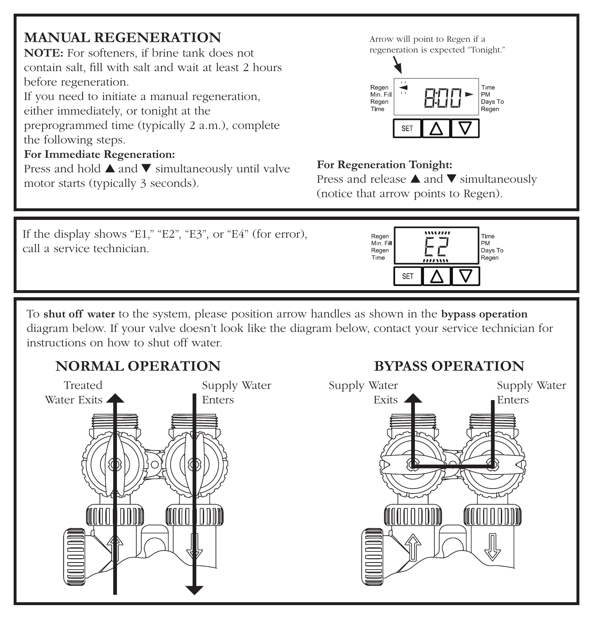# **MANUAL REGENERATION**

**NOTE:** For softeners, if brine tank does not contain salt, fill with salt and wait at least 2 hours before regeneration.

If you need to initiate a manual regeneration, either immediately, or tonight at the

preprogrammed time (typically 2 a.m.), complete the following steps.

### **For Immediate Regeneration:**

Press and hold ▲ and ▼ simultaneously until valve motor starts (typically 3 seconds).

Arrow will point to Regen if a regeneration is expected "Tonight."



#### **For Regeneration Tonight:**

Press and release ▲ and ▼ simultaneously (notice that arrow points to Regen).

**BYPASS OPERATION**



To **shut off water** to the system, please position arrow handles as shown in the **bypass operation** diagram below. If your valve doesn't look like the diagram below, contact your service technician for instructions on how to shut off water.

# **NORMAL OPERATION**